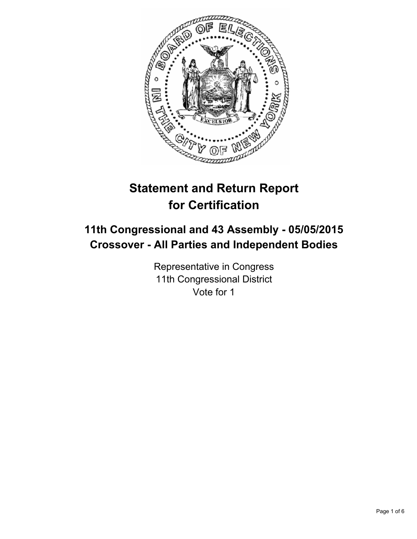

# **Statement and Return Report for Certification**

## **11th Congressional and 43 Assembly - 05/05/2015 Crossover - All Parties and Independent Bodies**

Representative in Congress 11th Congressional District Vote for 1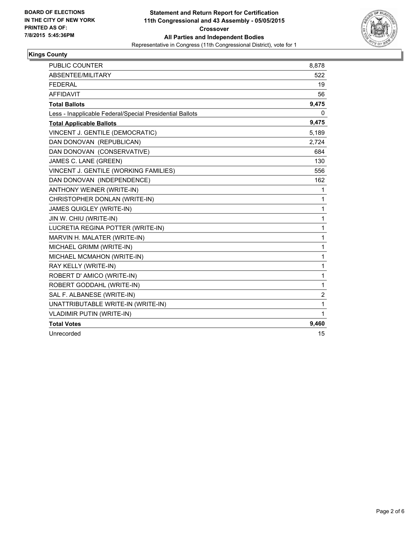

## **Kings County**

| <b>PUBLIC COUNTER</b>                                    | 8,878          |
|----------------------------------------------------------|----------------|
| ABSENTEE/MILITARY                                        | 522            |
| <b>FEDERAL</b>                                           | 19             |
| <b>AFFIDAVIT</b>                                         | 56             |
| <b>Total Ballots</b>                                     | 9,475          |
| Less - Inapplicable Federal/Special Presidential Ballots | 0              |
| <b>Total Applicable Ballots</b>                          | 9,475          |
| VINCENT J. GENTILE (DEMOCRATIC)                          | 5,189          |
| DAN DONOVAN (REPUBLICAN)                                 | 2,724          |
| DAN DONOVAN (CONSERVATIVE)                               | 684            |
| JAMES C. LANE (GREEN)                                    | 130            |
| VINCENT J. GENTILE (WORKING FAMILIES)                    | 556            |
| DAN DONOVAN (INDEPENDENCE)                               | 162            |
| ANTHONY WEINER (WRITE-IN)                                | 1              |
| CHRISTOPHER DONLAN (WRITE-IN)                            | 1              |
| <b>JAMES QUIGLEY (WRITE-IN)</b>                          | 1              |
| JIN W. CHIU (WRITE-IN)                                   | 1              |
| LUCRETIA REGINA POTTER (WRITE-IN)                        | 1              |
| MARVIN H. MALATER (WRITE-IN)                             | 1              |
| MICHAEL GRIMM (WRITE-IN)                                 | 1              |
| MICHAEL MCMAHON (WRITE-IN)                               | 1              |
| RAY KELLY (WRITE-IN)                                     | 1              |
| ROBERT D' AMICO (WRITE-IN)                               | 1              |
| ROBERT GODDAHL (WRITE-IN)                                | 1              |
| SAL F. ALBANESE (WRITE-IN)                               | $\overline{c}$ |
| UNATTRIBUTABLE WRITE-IN (WRITE-IN)                       | 1              |
| VLADIMIR PUTIN (WRITE-IN)                                | 1              |
| <b>Total Votes</b>                                       | 9,460          |
| Unrecorded                                               | 15             |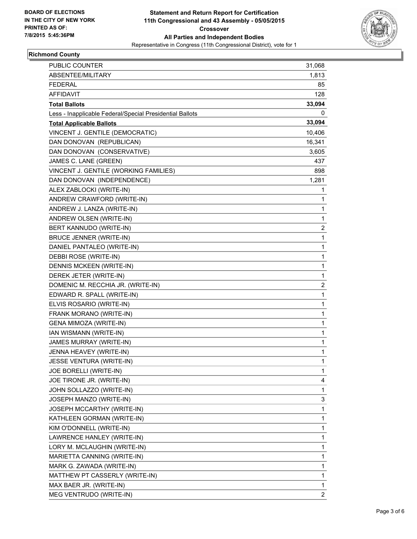

## **Richmond County**

| <b>PUBLIC COUNTER</b>                                    | 31,068       |
|----------------------------------------------------------|--------------|
| ABSENTEE/MILITARY                                        | 1,813        |
| <b>FEDERAL</b>                                           | 85           |
| <b>AFFIDAVIT</b>                                         | 128          |
| <b>Total Ballots</b>                                     | 33,094       |
| Less - Inapplicable Federal/Special Presidential Ballots | 0            |
| <b>Total Applicable Ballots</b>                          | 33,094       |
| VINCENT J. GENTILE (DEMOCRATIC)                          | 10,406       |
| DAN DONOVAN (REPUBLICAN)                                 | 16,341       |
| DAN DONOVAN (CONSERVATIVE)                               | 3,605        |
| JAMES C. LANE (GREEN)                                    | 437          |
| VINCENT J. GENTILE (WORKING FAMILIES)                    | 898          |
| DAN DONOVAN (INDEPENDENCE)                               | 1,281        |
| ALEX ZABLOCKI (WRITE-IN)                                 | 1            |
| ANDREW CRAWFORD (WRITE-IN)                               | 1            |
| ANDREW J. LANZA (WRITE-IN)                               | $\mathbf{1}$ |
| ANDREW OLSEN (WRITE-IN)                                  | 1            |
| BERT KANNUDO (WRITE-IN)                                  | 2            |
| <b>BRUCE JENNER (WRITE-IN)</b>                           | 1            |
| DANIEL PANTALEO (WRITE-IN)                               | 1            |
| DEBBI ROSE (WRITE-IN)                                    | 1            |
| DENNIS MCKEEN (WRITE-IN)                                 | $\mathbf{1}$ |
| DEREK JETER (WRITE-IN)                                   | 1            |
| DOMENIC M. RECCHIA JR. (WRITE-IN)                        | 2            |
| EDWARD R. SPALL (WRITE-IN)                               | $\mathbf{1}$ |
| ELVIS ROSARIO (WRITE-IN)                                 | 1            |
| FRANK MORANO (WRITE-IN)                                  | 1            |
| GENA MIMOZA (WRITE-IN)                                   | $\mathbf{1}$ |
| IAN WISMANN (WRITE-IN)                                   | 1            |
| JAMES MURRAY (WRITE-IN)                                  | 1            |
| JENNA HEAVEY (WRITE-IN)                                  | 1            |
| JESSE VENTURA (WRITE-IN)                                 | 1            |
| JOE BORELLI (WRITE-IN)                                   | 1            |
| JOE TIRONE JR. (WRITE-IN)                                | 4            |
| JOHN SOLLAZZO (WRITE-IN)                                 | 1            |
| JOSEPH MANZO (WRITE-IN)                                  | 3            |
| JOSEPH MCCARTHY (WRITE-IN)                               | $\mathbf{1}$ |
| KATHLEEN GORMAN (WRITE-IN)                               | 1            |
| KIM O'DONNELL (WRITE-IN)                                 | 1            |
| LAWRENCE HANLEY (WRITE-IN)                               | 1            |
| LORY M. MCLAUGHIN (WRITE-IN)                             | 1            |
| MARIETTA CANNING (WRITE-IN)                              | 1            |
| MARK G. ZAWADA (WRITE-IN)                                | 1            |
| MATTHEW PT CASSERLY (WRITE-IN)                           | 1            |
| MAX BAER JR. (WRITE-IN)                                  | 1            |
| MEG VENTRUDO (WRITE-IN)                                  | 2            |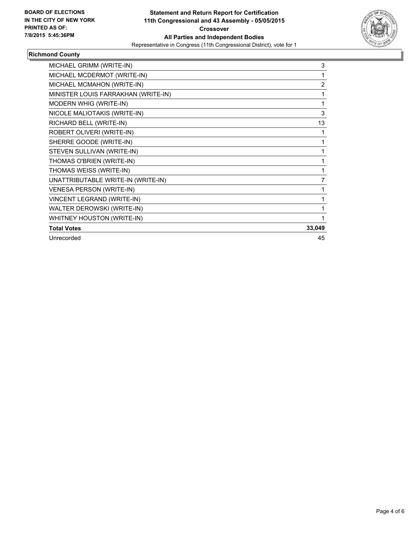

## **Richmond County**

| MICHAEL GRIMM (WRITE-IN)            | 3              |
|-------------------------------------|----------------|
| MICHAEL MCDERMOT (WRITE-IN)         | 1              |
| MICHAEL MCMAHON (WRITE-IN)          | $\overline{2}$ |
| MINISTER LOUIS FARRAKHAN (WRITE-IN) |                |
| MODERN WHIG (WRITE-IN)              | 1              |
| NICOLE MALIOTAKIS (WRITE-IN)        | 3              |
| RICHARD BELL (WRITE-IN)             | 13             |
| ROBERT OLIVERI (WRITE-IN)           | 1              |
| SHERRE GOODE (WRITE-IN)             | 1              |
| STEVEN SULLIVAN (WRITE-IN)          | 1              |
| THOMAS O'BRIEN (WRITE-IN)           | 1              |
| THOMAS WEISS (WRITE-IN)             | 1              |
| UNATTRIBUTABLE WRITE-IN (WRITE-IN)  | $\overline{7}$ |
| <b>VENESA PERSON (WRITE-IN)</b>     | 1              |
| VINCENT LEGRAND (WRITE-IN)          | 1              |
| WALTER DEROWSKI (WRITE-IN)          | 1              |
| WHITNEY HOUSTON (WRITE-IN)          | 1              |
| <b>Total Votes</b>                  | 33,049         |
| Unrecorded                          | 45             |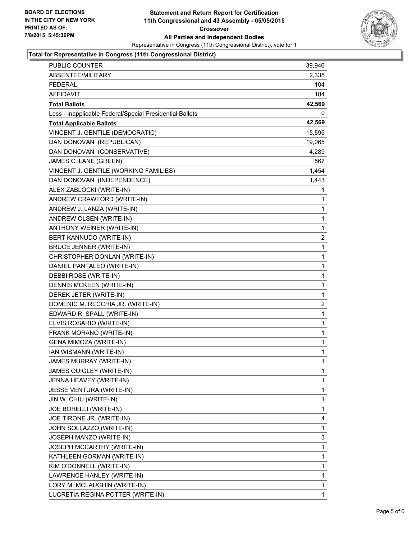

#### **Total for Representative in Congress (11th Congressional District)**

| PUBLIC COUNTER                                           | 39,946       |
|----------------------------------------------------------|--------------|
| ABSENTEE/MILITARY                                        | 2,335        |
| <b>FEDERAL</b>                                           | 104          |
| <b>AFFIDAVIT</b>                                         | 184          |
| <b>Total Ballots</b>                                     | 42,569       |
| Less - Inapplicable Federal/Special Presidential Ballots | 0            |
| <b>Total Applicable Ballots</b>                          | 42,569       |
| VINCENT J. GENTILE (DEMOCRATIC)                          | 15,595       |
| DAN DONOVAN (REPUBLICAN)                                 | 19,065       |
| DAN DONOVAN (CONSERVATIVE)                               | 4,289        |
| JAMES C. LANE (GREEN)                                    | 567          |
| VINCENT J. GENTILE (WORKING FAMILIES)                    | 1,454        |
| DAN DONOVAN (INDEPENDENCE)                               | 1,443        |
| ALEX ZABLOCKI (WRITE-IN)                                 | 1            |
| ANDREW CRAWFORD (WRITE-IN)                               | 1            |
| ANDREW J. LANZA (WRITE-IN)                               | 1            |
| ANDREW OLSEN (WRITE-IN)                                  | $\mathbf 1$  |
| ANTHONY WEINER (WRITE-IN)                                | 1            |
| BERT KANNUDO (WRITE-IN)                                  | 2            |
| <b>BRUCE JENNER (WRITE-IN)</b>                           | $\mathbf{1}$ |
| CHRISTOPHER DONLAN (WRITE-IN)                            | 1            |
| DANIEL PANTALEO (WRITE-IN)                               | 1            |
| DEBBI ROSE (WRITE-IN)                                    | $\mathbf 1$  |
| DENNIS MCKEEN (WRITE-IN)                                 | 1            |
| DEREK JETER (WRITE-IN)                                   | 1            |
| DOMENIC M. RECCHIA JR. (WRITE-IN)                        | 2            |
| EDWARD R. SPALL (WRITE-IN)                               | 1            |
| ELVIS ROSARIO (WRITE-IN)                                 | 1            |
| FRANK MORANO (WRITE-IN)                                  | $\mathbf 1$  |
| <b>GENA MIMOZA (WRITE-IN)</b>                            | 1            |
| IAN WISMANN (WRITE-IN)                                   | 1            |
| JAMES MURRAY (WRITE-IN)                                  | $\mathbf 1$  |
| JAMES QUIGLEY (WRITE-IN)                                 | 1            |
| JENNA HEAVEY (WRITE-IN)                                  | 1            |
| JESSE VENTURA (WRITE-IN)                                 | 1            |
| JIN W. CHIU (WRITE-IN)                                   | 1            |
| JOE BORELLI (WRITE-IN)                                   | 1            |
| JOE TIRONE JR. (WRITE-IN)                                | 4            |
| JOHN SOLLAZZO (WRITE-IN)                                 | 1            |
| JOSEPH MANZO (WRITE-IN)                                  | 3            |
| JOSEPH MCCARTHY (WRITE-IN)                               | 1            |
| KATHLEEN GORMAN (WRITE-IN)                               | 1            |
| KIM O'DONNELL (WRITE-IN)                                 | 1            |
| LAWRENCE HANLEY (WRITE-IN)                               | 1            |
| LORY M. MCLAUGHIN (WRITE-IN)                             | 1            |
| LUCRETIA REGINA POTTER (WRITE-IN)                        | 1            |